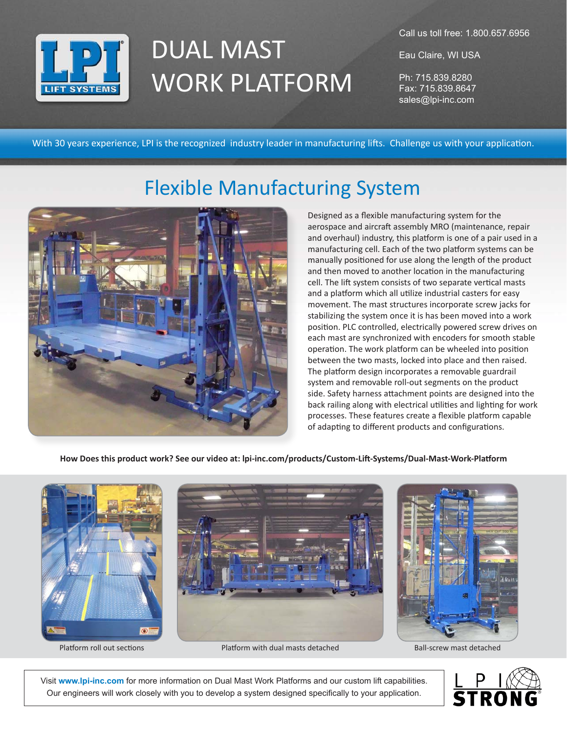

## DUAL MAST WORK PLATFORM

Call us toll free: 1.800.657.6956

Eau Claire, WI USA

Ph: 715.839.8280 Fax: 715.839.8647 sales@lpi-inc.com

With 30 years experience, LPI is the recognized industry leader in manufacturing lifts. Challenge us with your application.

## Flexible Manufacturing System



Designed as a flexible manufacturing system for the aerospace and aircraft assembly MRO (maintenance, repair and overhaul) industry, this platform is one of a pair used in a manufacturing cell. Each of the two platform systems can be manually positioned for use along the length of the product and then moved to another location in the manufacturing cell. The lift system consists of two separate vertical masts and a platform which all utilize industrial casters for easy movement. The mast structures incorporate screw jacks for stabilizing the system once it is has been moved into a work position. PLC controlled, electrically powered screw drives on each mast are synchronized with encoders for smooth stable operation. The work platform can be wheeled into position between the two masts, locked into place and then raised. The platform design incorporates a removable guardrail system and removable roll-out segments on the product side. Safety harness attachment points are designed into the back railing along with electrical utilities and lighting for work processes. These features create a flexible platform capable of adapting to different products and configurations.

**How Does this product work? See our video at: lpi-inc.com/products/Custom-Lift-Systems/Dual-Mast-Work-Platform**





Platform roll out sections **Platform with dual masts detached** Ball-screw mast detached Ball-screw mast detached



Visit **www.lpi-inc.com** for more information on Dual Mast Work Platforms and our custom lift capabilities. Our engineers will work closely with you to develop a system designed specifically to your application.